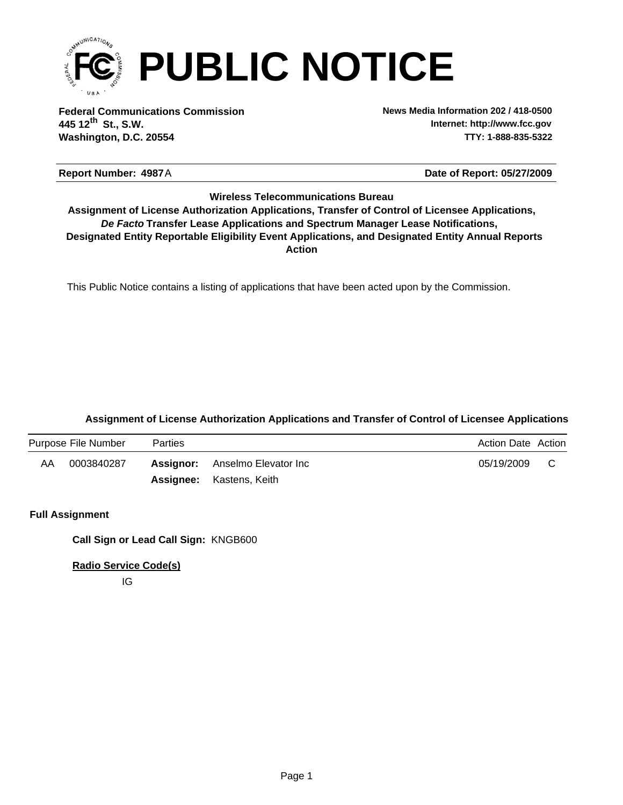

**Federal Communications Commission News Media Information 202 / 418-0500 Washington, D.C. 20554 TTY: 1-888-835-5322 445 12 St., S.W. th**

**Internet: http://www.fcc.gov**

**Date of Report: 05/27/2009** 

#### Report Number: 4987A

#### **Wireless Telecommunications Bureau**

**Action** *De Facto* **Transfer Lease Applications and Spectrum Manager Lease Notifications, Designated Entity Reportable Eligibility Event Applications, and Designated Entity Annual Reports Assignment of License Authorization Applications, Transfer of Control of Licensee Applications,**

This Public Notice contains a listing of applications that have been acted upon by the Commission.

#### **Assignment of License Authorization Applications and Transfer of Control of Licensee Applications**

|    | Purpose File Number | <b>Parties</b> |                                       | <b>Action Date Action</b> |  |
|----|---------------------|----------------|---------------------------------------|---------------------------|--|
| AA | 0003840287          |                | <b>Assignor:</b> Anselmo Elevator Inc | 05/19/2009                |  |
|    |                     |                | <b>Assignee:</b> Kastens, Keith       |                           |  |

#### **Full Assignment**

**Call Sign or Lead Call Sign:** KNGB600

**Radio Service Code(s)**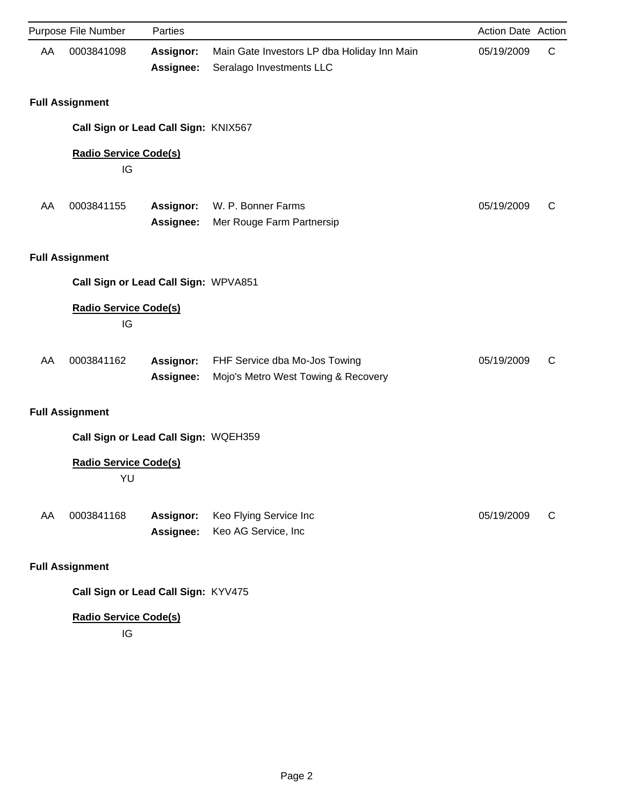|    | Purpose File Number                  | Parties                       |                                                                         | Action Date Action |   |
|----|--------------------------------------|-------------------------------|-------------------------------------------------------------------------|--------------------|---|
| AA | 0003841098                           | <b>Assignor:</b><br>Assignee: | Main Gate Investors LP dba Holiday Inn Main<br>Seralago Investments LLC | 05/19/2009         | C |
|    | <b>Full Assignment</b>               |                               |                                                                         |                    |   |
|    | Call Sign or Lead Call Sign: KNIX567 |                               |                                                                         |                    |   |
|    | <b>Radio Service Code(s)</b><br>IG   |                               |                                                                         |                    |   |
| AA | 0003841155                           | <b>Assignor:</b><br>Assignee: | W. P. Bonner Farms<br>Mer Rouge Farm Partnersip                         | 05/19/2009         | C |
|    | <b>Full Assignment</b>               |                               |                                                                         |                    |   |
|    | Call Sign or Lead Call Sign: WPVA851 |                               |                                                                         |                    |   |
|    | <b>Radio Service Code(s)</b><br>IG   |                               |                                                                         |                    |   |
| AA | 0003841162                           | Assignor:<br>Assignee:        | FHF Service dba Mo-Jos Towing<br>Mojo's Metro West Towing & Recovery    | 05/19/2009         | C |
|    | <b>Full Assignment</b>               |                               |                                                                         |                    |   |
|    | Call Sign or Lead Call Sign: WQEH359 |                               |                                                                         |                    |   |
|    | <b>Radio Service Code(s)</b><br>YU   |                               |                                                                         |                    |   |
| AA | 0003841168                           | <b>Assignor:</b><br>Assignee: | Keo Flying Service Inc<br>Keo AG Service, Inc                           | 05/19/2009         | C |
|    | <b>Full Assignment</b>               |                               |                                                                         |                    |   |
|    | Call Sign or Lead Call Sign: KYV475  |                               |                                                                         |                    |   |

# **Radio Service Code(s)**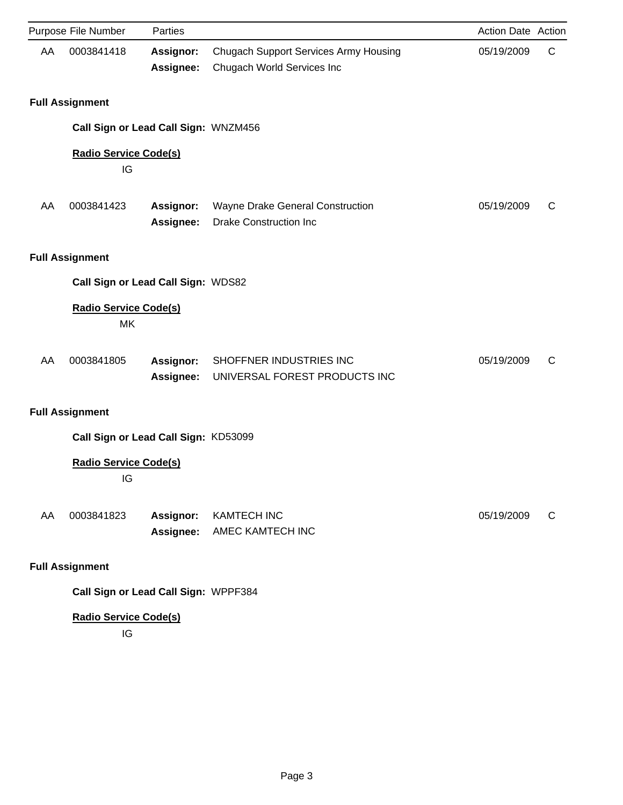|    | Purpose File Number                  | Parties                              |                                                                            | Action Date Action |   |
|----|--------------------------------------|--------------------------------------|----------------------------------------------------------------------------|--------------------|---|
| AA | 0003841418                           | <b>Assignor:</b><br>Assignee:        | <b>Chugach Support Services Army Housing</b><br>Chugach World Services Inc | 05/19/2009         | C |
|    | <b>Full Assignment</b>               |                                      |                                                                            |                    |   |
|    | Call Sign or Lead Call Sign: WNZM456 |                                      |                                                                            |                    |   |
|    | <b>Radio Service Code(s)</b><br>IG   |                                      |                                                                            |                    |   |
| AA | 0003841423                           | <b>Assignor:</b><br>Assignee:        | Wayne Drake General Construction<br><b>Drake Construction Inc</b>          | 05/19/2009         | C |
|    | <b>Full Assignment</b>               |                                      |                                                                            |                    |   |
|    | Call Sign or Lead Call Sign: WDS82   |                                      |                                                                            |                    |   |
|    | <b>Radio Service Code(s)</b><br>МK   |                                      |                                                                            |                    |   |
| AA | 0003841805                           | <b>Assignor:</b><br><b>Assignee:</b> | SHOFFNER INDUSTRIES INC<br>UNIVERSAL FOREST PRODUCTS INC                   | 05/19/2009         | C |
|    | <b>Full Assignment</b>               |                                      |                                                                            |                    |   |
|    | Call Sign or Lead Call Sign: KD53099 |                                      |                                                                            |                    |   |
|    | <b>Radio Service Code(s)</b><br>IG   |                                      |                                                                            |                    |   |
| AA | 0003841823                           | <b>Assignor:</b><br>Assignee:        | <b>KAMTECH INC</b><br>AMEC KAMTECH INC                                     | 05/19/2009         | C |
|    | <b>Full Assignment</b>               |                                      |                                                                            |                    |   |

**Call Sign or Lead Call Sign:** WPPF384

## **Radio Service Code(s)**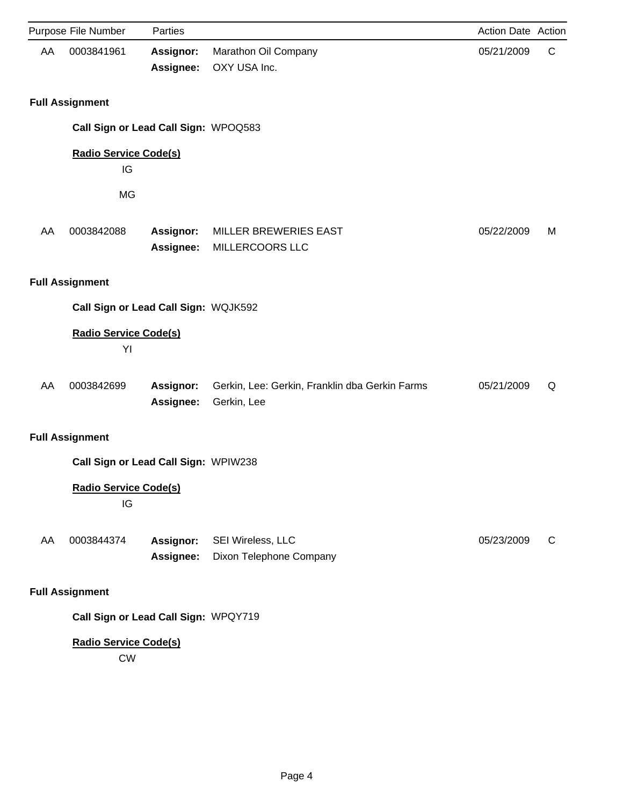|    | Purpose File Number                       | Parties                       |                                                               | Action Date Action |             |
|----|-------------------------------------------|-------------------------------|---------------------------------------------------------------|--------------------|-------------|
| AA | 0003841961                                | <b>Assignor:</b><br>Assignee: | Marathon Oil Company<br>OXY USA Inc.                          | 05/21/2009         | $\mathsf C$ |
|    | <b>Full Assignment</b>                    |                               |                                                               |                    |             |
|    | Call Sign or Lead Call Sign: WPOQ583      |                               |                                                               |                    |             |
|    | <b>Radio Service Code(s)</b>              |                               |                                                               |                    |             |
|    | IG                                        |                               |                                                               |                    |             |
|    | <b>MG</b>                                 |                               |                                                               |                    |             |
| AA | 0003842088                                | <b>Assignor:</b><br>Assignee: | <b>MILLER BREWERIES EAST</b><br>MILLERCOORS LLC               | 05/22/2009         | М           |
|    | <b>Full Assignment</b>                    |                               |                                                               |                    |             |
|    | Call Sign or Lead Call Sign: WQJK592      |                               |                                                               |                    |             |
|    | <b>Radio Service Code(s)</b><br>YI        |                               |                                                               |                    |             |
| AA | 0003842699                                | Assignor:<br>Assignee:        | Gerkin, Lee: Gerkin, Franklin dba Gerkin Farms<br>Gerkin, Lee | 05/21/2009         | Q           |
|    | <b>Full Assignment</b>                    |                               |                                                               |                    |             |
|    | Call Sign or Lead Call Sign: WPIW238      |                               |                                                               |                    |             |
|    | <b>Radio Service Code(s)</b><br>IG        |                               |                                                               |                    |             |
| AA | 0003844374                                | <b>Assignor:</b><br>Assignee: | SEI Wireless, LLC<br>Dixon Telephone Company                  | 05/23/2009         | C           |
|    | <b>Full Assignment</b>                    |                               |                                                               |                    |             |
|    | Call Sign or Lead Call Sign: WPQY719      |                               |                                                               |                    |             |
|    | <b>Radio Service Code(s)</b><br><b>CW</b> |                               |                                                               |                    |             |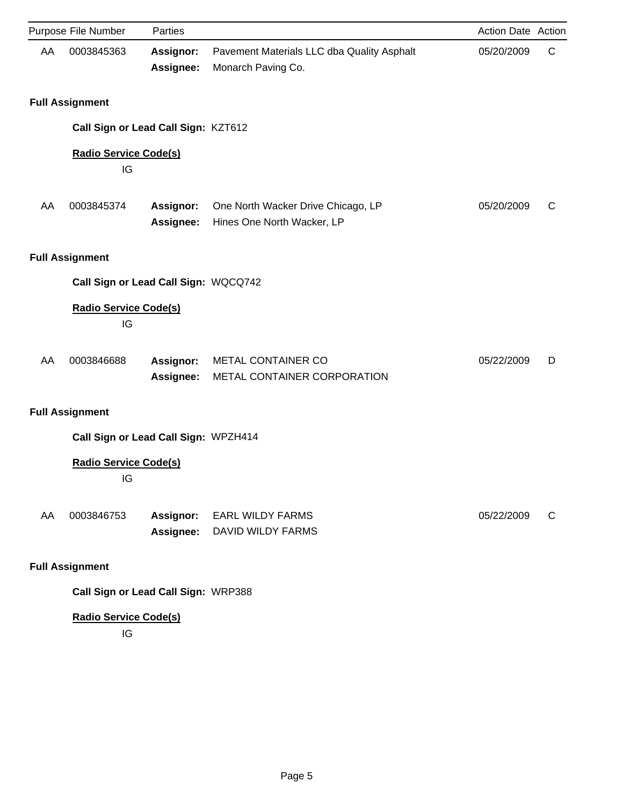| Purpose File Number                  | Parties                       |                                                                  | Action Date Action |   |
|--------------------------------------|-------------------------------|------------------------------------------------------------------|--------------------|---|
| AA<br>0003845363                     | <b>Assignor:</b><br>Assignee: | Pavement Materials LLC dba Quality Asphalt<br>Monarch Paving Co. | 05/20/2009         | C |
| <b>Full Assignment</b>               |                               |                                                                  |                    |   |
| Call Sign or Lead Call Sign: KZT612  |                               |                                                                  |                    |   |
| <b>Radio Service Code(s)</b><br>IG   |                               |                                                                  |                    |   |
| 0003845374<br>AA                     | <b>Assignor:</b><br>Assignee: | One North Wacker Drive Chicago, LP<br>Hines One North Wacker, LP | 05/20/2009         | C |
| <b>Full Assignment</b>               |                               |                                                                  |                    |   |
| Call Sign or Lead Call Sign: WQCQ742 |                               |                                                                  |                    |   |
| <b>Radio Service Code(s)</b><br>IG   |                               |                                                                  |                    |   |
| AA<br>0003846688                     | Assignor:<br><b>Assignee:</b> | METAL CONTAINER CO<br>METAL CONTAINER CORPORATION                | 05/22/2009         | D |
| <b>Full Assignment</b>               |                               |                                                                  |                    |   |
| Call Sign or Lead Call Sign: WPZH414 |                               |                                                                  |                    |   |
| <b>Radio Service Code(s)</b><br>IG   |                               |                                                                  |                    |   |
| 0003846753<br>AA                     | <b>Assignor:</b><br>Assignee: | <b>EARL WILDY FARMS</b><br><b>DAVID WILDY FARMS</b>              | 05/22/2009         | C |
| <b>Full Assignment</b>               |                               |                                                                  |                    |   |

**Call Sign or Lead Call Sign:** WRP388

## **Radio Service Code(s)**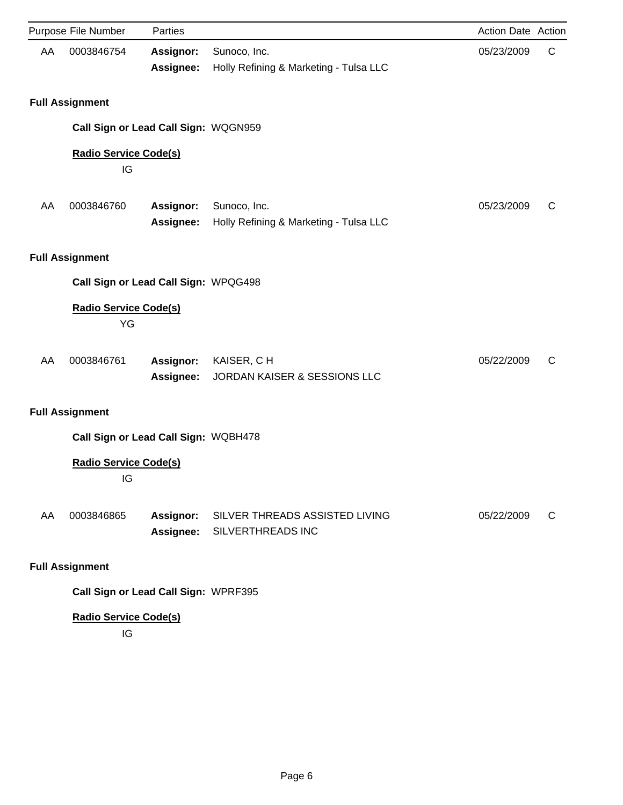|    | Purpose File Number                  | Parties                              |                                                        | Action Date Action |   |
|----|--------------------------------------|--------------------------------------|--------------------------------------------------------|--------------------|---|
| AA | 0003846754                           | <b>Assignor:</b><br>Assignee:        | Sunoco, Inc.<br>Holly Refining & Marketing - Tulsa LLC | 05/23/2009         | C |
|    | <b>Full Assignment</b>               |                                      |                                                        |                    |   |
|    | Call Sign or Lead Call Sign: WQGN959 |                                      |                                                        |                    |   |
|    | <b>Radio Service Code(s)</b><br>IG   |                                      |                                                        |                    |   |
| AA | 0003846760                           | Assignor:<br><b>Assignee:</b>        | Sunoco, Inc.<br>Holly Refining & Marketing - Tulsa LLC | 05/23/2009         | C |
|    | <b>Full Assignment</b>               |                                      |                                                        |                    |   |
|    | Call Sign or Lead Call Sign: WPQG498 |                                      |                                                        |                    |   |
|    | <b>Radio Service Code(s)</b><br>YG   |                                      |                                                        |                    |   |
| AA | 0003846761                           | <b>Assignor:</b><br><b>Assignee:</b> | KAISER, CH<br>JORDAN KAISER & SESSIONS LLC             | 05/22/2009         | C |
|    | <b>Full Assignment</b>               |                                      |                                                        |                    |   |
|    | Call Sign or Lead Call Sign: WQBH478 |                                      |                                                        |                    |   |
|    | <b>Radio Service Code(s)</b><br>IG   |                                      |                                                        |                    |   |
| AA | 0003846865                           | <b>Assignor:</b><br>Assignee:        | SILVER THREADS ASSISTED LIVING<br>SILVERTHREADS INC    | 05/22/2009         | C |
|    | <b>Full Assignment</b>               |                                      |                                                        |                    |   |

**Call Sign or Lead Call Sign:** WPRF395

## **Radio Service Code(s)**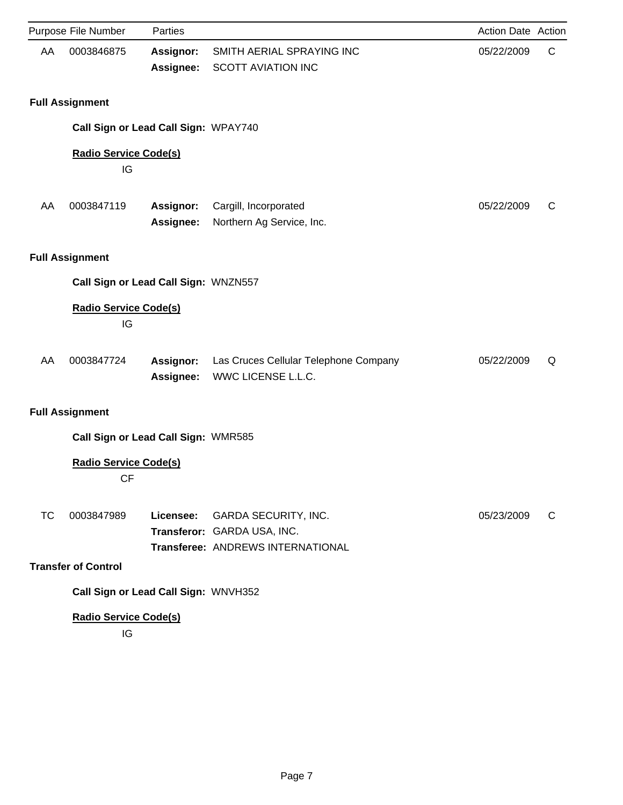|    | Purpose File Number                                                  | Parties                              |                                                                                                 | Action Date Action |   |
|----|----------------------------------------------------------------------|--------------------------------------|-------------------------------------------------------------------------------------------------|--------------------|---|
| AA | 0003846875                                                           | <b>Assignor:</b><br>Assignee:        | SMITH AERIAL SPRAYING INC<br><b>SCOTT AVIATION INC</b>                                          | 05/22/2009         | C |
|    | <b>Full Assignment</b>                                               |                                      |                                                                                                 |                    |   |
|    |                                                                      | Call Sign or Lead Call Sign: WPAY740 |                                                                                                 |                    |   |
|    | <b>Radio Service Code(s)</b><br>IG                                   |                                      |                                                                                                 |                    |   |
| AA | 0003847119                                                           | Assignor:<br>Assignee:               | Cargill, Incorporated<br>Northern Ag Service, Inc.                                              | 05/22/2009         | C |
|    | <b>Full Assignment</b>                                               |                                      |                                                                                                 |                    |   |
|    |                                                                      | Call Sign or Lead Call Sign: WNZN557 |                                                                                                 |                    |   |
|    | <b>Radio Service Code(s)</b><br>IG                                   |                                      |                                                                                                 |                    |   |
| AA | 0003847724                                                           | Assignor:<br>Assignee:               | Las Cruces Cellular Telephone Company<br>WWC LICENSE L.L.C.                                     | 05/22/2009         | Q |
|    | <b>Full Assignment</b>                                               |                                      |                                                                                                 |                    |   |
|    |                                                                      | Call Sign or Lead Call Sign: WMR585  |                                                                                                 |                    |   |
|    | <b>Radio Service Code(s)</b><br><b>CF</b>                            |                                      |                                                                                                 |                    |   |
| ТC | 0003847989                                                           | Licensee:                            | <b>GARDA SECURITY, INC.</b><br>Transferor: GARDA USA, INC.<br>Transferee: ANDREWS INTERNATIONAL | 05/23/2009         | C |
|    | <b>Transfer of Control</b>                                           |                                      |                                                                                                 |                    |   |
|    | Call Sign or Lead Call Sign: WNVH352<br><b>Radio Service Code(s)</b> |                                      |                                                                                                 |                    |   |
|    |                                                                      |                                      |                                                                                                 |                    |   |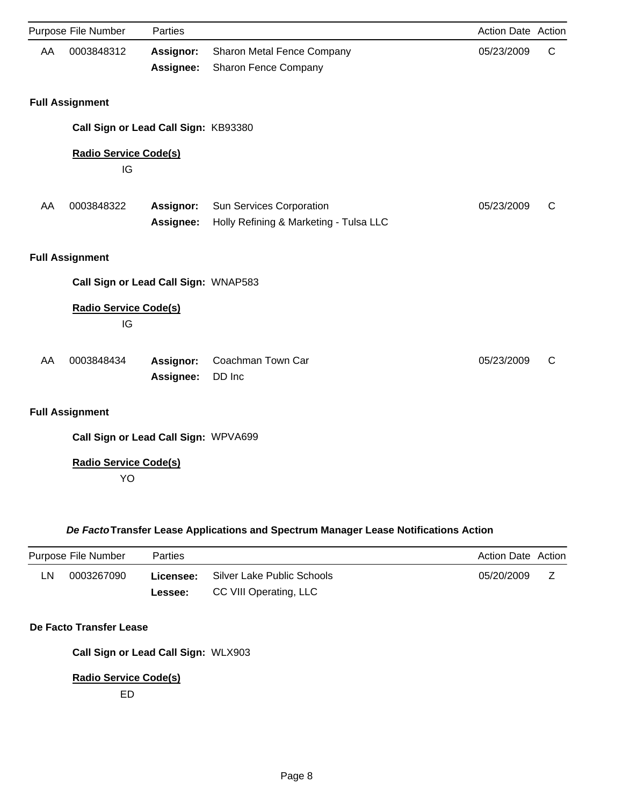|    | Purpose File Number                  | Parties          |                                        | Action Date Action |              |
|----|--------------------------------------|------------------|----------------------------------------|--------------------|--------------|
| AA | 0003848312                           | Assignor:        | Sharon Metal Fence Company             | 05/23/2009         | C            |
|    |                                      | Assignee:        | Sharon Fence Company                   |                    |              |
|    | <b>Full Assignment</b>               |                  |                                        |                    |              |
|    | Call Sign or Lead Call Sign: KB93380 |                  |                                        |                    |              |
|    | <b>Radio Service Code(s)</b><br>IG   |                  |                                        |                    |              |
| AA | 0003848322                           | <b>Assignor:</b> | Sun Services Corporation               | 05/23/2009         | $\mathsf{C}$ |
|    |                                      | Assignee:        | Holly Refining & Marketing - Tulsa LLC |                    |              |
|    | <b>Full Assignment</b>               |                  |                                        |                    |              |
|    | Call Sign or Lead Call Sign: WNAP583 |                  |                                        |                    |              |
|    | <b>Radio Service Code(s)</b><br>IG   |                  |                                        |                    |              |
| AA | 0003848434                           | Assignor:        | Coachman Town Car                      | 05/23/2009         | C            |
|    |                                      | Assignee:        | DD Inc                                 |                    |              |
|    | <b>Full Assignment</b>               |                  |                                        |                    |              |
|    | Call Sign or Lead Call Sign: WPVA699 |                  |                                        |                    |              |
|    | <b>Radio Service Code(s)</b><br>YO   |                  |                                        |                    |              |

### *De Facto***Transfer Lease Applications and Spectrum Manager Lease Notifications Action**

|    | Purpose File Number | <b>Parties</b> |                                             | <b>Action Date Action</b> |  |
|----|---------------------|----------------|---------------------------------------------|---------------------------|--|
| LN | 0003267090          |                | <b>Licensee:</b> Silver Lake Public Schools | 05/20/2009                |  |
|    |                     | <b>Lessee:</b> | CC VIII Operating, LLC                      |                           |  |

### **De Facto Transfer Lease**

**Call Sign or Lead Call Sign:** WLX903

### **Radio Service Code(s)**

ED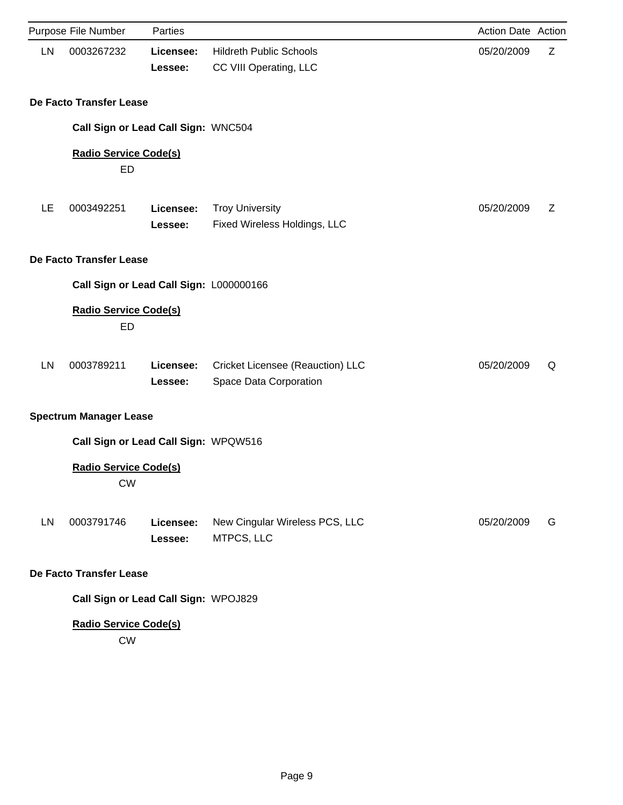|    | Purpose File Number                       | Parties              |                                                            | Action Date Action |   |
|----|-------------------------------------------|----------------------|------------------------------------------------------------|--------------------|---|
| LN | 0003267232                                | Licensee:<br>Lessee: | <b>Hildreth Public Schools</b><br>CC VIII Operating, LLC   | 05/20/2009         | Z |
|    | De Facto Transfer Lease                   |                      |                                                            |                    |   |
|    | Call Sign or Lead Call Sign: WNC504       |                      |                                                            |                    |   |
|    | <b>Radio Service Code(s)</b><br>ED        |                      |                                                            |                    |   |
| LE | 0003492251                                | Licensee:<br>Lessee: | <b>Troy University</b><br>Fixed Wireless Holdings, LLC     | 05/20/2009         | Ζ |
|    | De Facto Transfer Lease                   |                      |                                                            |                    |   |
|    | Call Sign or Lead Call Sign: L000000166   |                      |                                                            |                    |   |
|    | <b>Radio Service Code(s)</b><br>ED        |                      |                                                            |                    |   |
| LN | 0003789211                                | Licensee:<br>Lessee: | Cricket Licensee (Reauction) LLC<br>Space Data Corporation | 05/20/2009         | Q |
|    | <b>Spectrum Manager Lease</b>             |                      |                                                            |                    |   |
|    | Call Sign or Lead Call Sign: WPQW516      |                      |                                                            |                    |   |
|    | <b>Radio Service Code(s)</b><br><b>CW</b> |                      |                                                            |                    |   |
| LN | 0003791746                                | Licensee:<br>Lessee: | New Cingular Wireless PCS, LLC<br>MTPCS, LLC               | 05/20/2009         | G |
|    | De Facto Transfer Lease                   |                      |                                                            |                    |   |
|    | Call Sign or Lead Call Sign: WPOJ829      |                      |                                                            |                    |   |
|    | <b>Radio Service Code(s)</b><br><b>CW</b> |                      |                                                            |                    |   |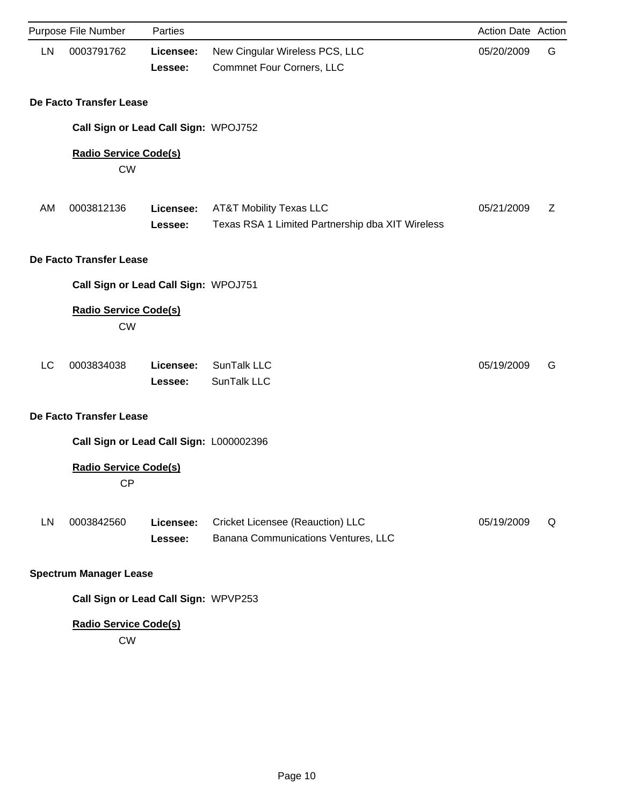|    | Purpose File Number                       | Parties              |                                                                                | Action Date Action |   |
|----|-------------------------------------------|----------------------|--------------------------------------------------------------------------------|--------------------|---|
| LN | 0003791762                                | Licensee:<br>Lessee: | New Cingular Wireless PCS, LLC<br>Commnet Four Corners, LLC                    | 05/20/2009         | G |
|    | De Facto Transfer Lease                   |                      |                                                                                |                    |   |
|    | Call Sign or Lead Call Sign: WPOJ752      |                      |                                                                                |                    |   |
|    | <b>Radio Service Code(s)</b><br><b>CW</b> |                      |                                                                                |                    |   |
| AM | 0003812136                                | Licensee:<br>Lessee: | AT&T Mobility Texas LLC<br>Texas RSA 1 Limited Partnership dba XIT Wireless    | 05/21/2009         | Z |
|    | De Facto Transfer Lease                   |                      |                                                                                |                    |   |
|    | Call Sign or Lead Call Sign: WPOJ751      |                      |                                                                                |                    |   |
|    | <b>Radio Service Code(s)</b><br><b>CW</b> |                      |                                                                                |                    |   |
| LC | 0003834038                                | Licensee:<br>Lessee: | SunTalk LLC<br>SunTalk LLC                                                     | 05/19/2009         | G |
|    | De Facto Transfer Lease                   |                      |                                                                                |                    |   |
|    | Call Sign or Lead Call Sign: L000002396   |                      |                                                                                |                    |   |
|    | <b>Radio Service Code(s)</b><br><b>CP</b> |                      |                                                                                |                    |   |
| LN | 0003842560                                | Licensee:<br>Lessee: | <b>Cricket Licensee (Reauction) LLC</b><br>Banana Communications Ventures, LLC | 05/19/2009         | Q |
|    | <b>Spectrum Manager Lease</b>             |                      |                                                                                |                    |   |
|    | Call Sign or Lead Call Sign: WPVP253      |                      |                                                                                |                    |   |
|    | <b>Radio Service Code(s)</b><br><b>CW</b> |                      |                                                                                |                    |   |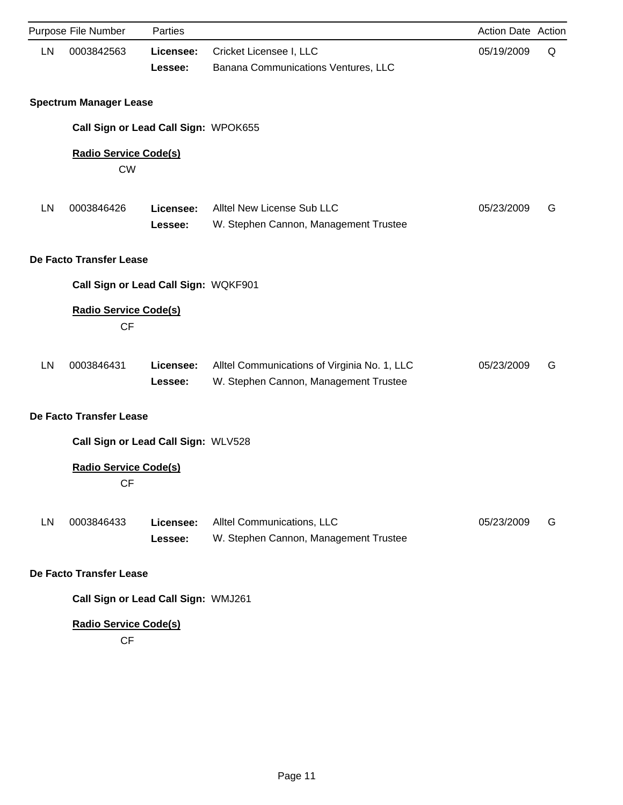|    | Purpose File Number                       | Parties              |                                                                                       | Action Date Action |   |
|----|-------------------------------------------|----------------------|---------------------------------------------------------------------------------------|--------------------|---|
| LN | 0003842563                                | Licensee:<br>Lessee: | Cricket Licensee I, LLC<br>Banana Communications Ventures, LLC                        | 05/19/2009         | Q |
|    | <b>Spectrum Manager Lease</b>             |                      |                                                                                       |                    |   |
|    | Call Sign or Lead Call Sign: WPOK655      |                      |                                                                                       |                    |   |
|    | <b>Radio Service Code(s)</b><br><b>CW</b> |                      |                                                                                       |                    |   |
| LN | 0003846426                                | Licensee:<br>Lessee: | Alltel New License Sub LLC<br>W. Stephen Cannon, Management Trustee                   | 05/23/2009         | G |
|    | De Facto Transfer Lease                   |                      |                                                                                       |                    |   |
|    | Call Sign or Lead Call Sign: WQKF901      |                      |                                                                                       |                    |   |
|    | <b>Radio Service Code(s)</b><br><b>CF</b> |                      |                                                                                       |                    |   |
| LN | 0003846431                                | Licensee:<br>Lessee: | Alltel Communications of Virginia No. 1, LLC<br>W. Stephen Cannon, Management Trustee | 05/23/2009         | G |
|    | De Facto Transfer Lease                   |                      |                                                                                       |                    |   |
|    | Call Sign or Lead Call Sign: WLV528       |                      |                                                                                       |                    |   |
|    | <b>Radio Service Code(s)</b><br><b>CF</b> |                      |                                                                                       |                    |   |
| LN | 0003846433                                | Licensee:<br>Lessee: | Alltel Communications, LLC<br>W. Stephen Cannon, Management Trustee                   | 05/23/2009         | G |
|    | De Facto Transfer Lease                   |                      |                                                                                       |                    |   |
|    | Call Sign or Lead Call Sign: WMJ261       |                      |                                                                                       |                    |   |
|    | <b>Radio Service Code(s)</b><br><b>CF</b> |                      |                                                                                       |                    |   |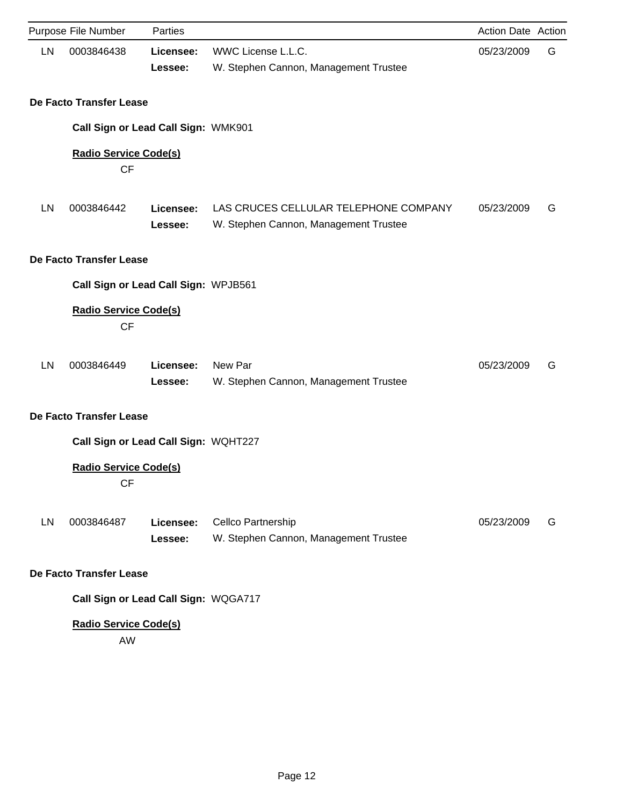|    | Purpose File Number                       | Parties              |                                                                                | Action Date Action |   |
|----|-------------------------------------------|----------------------|--------------------------------------------------------------------------------|--------------------|---|
| LN | 0003846438                                | Licensee:<br>Lessee: | WWC License L.L.C.<br>W. Stephen Cannon, Management Trustee                    | 05/23/2009         | G |
|    | De Facto Transfer Lease                   |                      |                                                                                |                    |   |
|    | Call Sign or Lead Call Sign: WMK901       |                      |                                                                                |                    |   |
|    | <b>Radio Service Code(s)</b><br><b>CF</b> |                      |                                                                                |                    |   |
| LN | 0003846442                                | Licensee:<br>Lessee: | LAS CRUCES CELLULAR TELEPHONE COMPANY<br>W. Stephen Cannon, Management Trustee | 05/23/2009         | G |
|    | De Facto Transfer Lease                   |                      |                                                                                |                    |   |
|    | Call Sign or Lead Call Sign: WPJB561      |                      |                                                                                |                    |   |
|    | <b>Radio Service Code(s)</b><br><b>CF</b> |                      |                                                                                |                    |   |
| LN | 0003846449                                | Licensee:<br>Lessee: | New Par<br>W. Stephen Cannon, Management Trustee                               | 05/23/2009         | G |
|    | De Facto Transfer Lease                   |                      |                                                                                |                    |   |
|    | Call Sign or Lead Call Sign: WQHT227      |                      |                                                                                |                    |   |
|    | <b>Radio Service Code(s)</b><br><b>CF</b> |                      |                                                                                |                    |   |
| LN | 0003846487                                | Licensee:<br>Lessee: | Cellco Partnership<br>W. Stephen Cannon, Management Trustee                    | 05/23/2009         | G |
|    | De Facto Transfer Lease                   |                      |                                                                                |                    |   |
|    | Call Sign or Lead Call Sign: WQGA717      |                      |                                                                                |                    |   |
|    | <b>Radio Service Code(s)</b><br>AW        |                      |                                                                                |                    |   |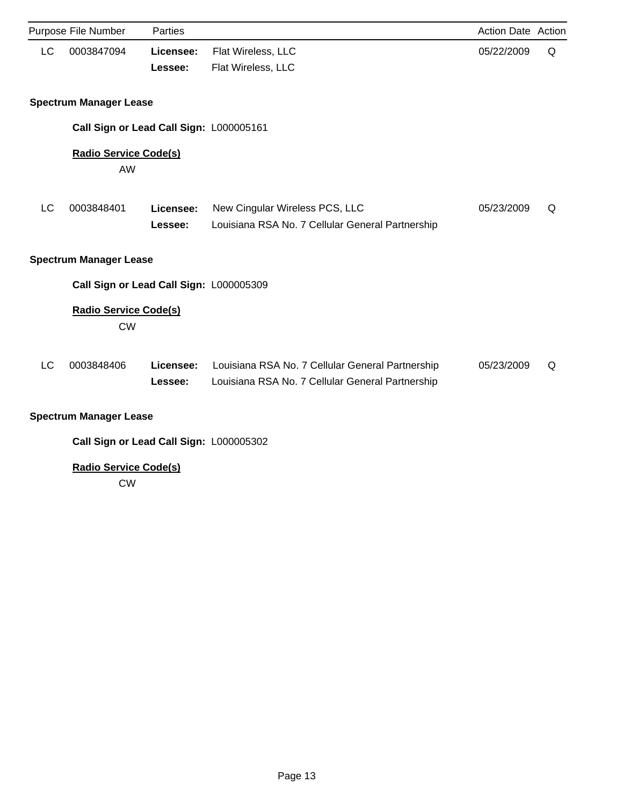|                                         | Purpose File Number                       | <b>Parties</b>       |                                                                                                      | <b>Action Date Action</b> |   |  |  |  |  |
|-----------------------------------------|-------------------------------------------|----------------------|------------------------------------------------------------------------------------------------------|---------------------------|---|--|--|--|--|
| LC                                      | 0003847094                                | Licensee:<br>Lessee: | Flat Wireless, LLC<br>Flat Wireless, LLC                                                             | 05/22/2009                | Q |  |  |  |  |
|                                         | <b>Spectrum Manager Lease</b>             |                      |                                                                                                      |                           |   |  |  |  |  |
|                                         | Call Sign or Lead Call Sign: L000005161   |                      |                                                                                                      |                           |   |  |  |  |  |
|                                         | <b>Radio Service Code(s)</b><br>AW        |                      |                                                                                                      |                           |   |  |  |  |  |
| LC                                      | 0003848401                                | Licensee:<br>Lessee: | New Cingular Wireless PCS, LLC<br>Louisiana RSA No. 7 Cellular General Partnership                   | 05/23/2009                | Q |  |  |  |  |
| <b>Spectrum Manager Lease</b>           |                                           |                      |                                                                                                      |                           |   |  |  |  |  |
|                                         | Call Sign or Lead Call Sign: L000005309   |                      |                                                                                                      |                           |   |  |  |  |  |
|                                         | <b>Radio Service Code(s)</b><br><b>CW</b> |                      |                                                                                                      |                           |   |  |  |  |  |
| LC                                      | 0003848406                                | Licensee:<br>Lessee: | Louisiana RSA No. 7 Cellular General Partnership<br>Louisiana RSA No. 7 Cellular General Partnership | 05/23/2009                | Q |  |  |  |  |
| <b>Spectrum Manager Lease</b>           |                                           |                      |                                                                                                      |                           |   |  |  |  |  |
| Call Sign or Lead Call Sign: L000005302 |                                           |                      |                                                                                                      |                           |   |  |  |  |  |

## **Radio Service Code(s)**

CW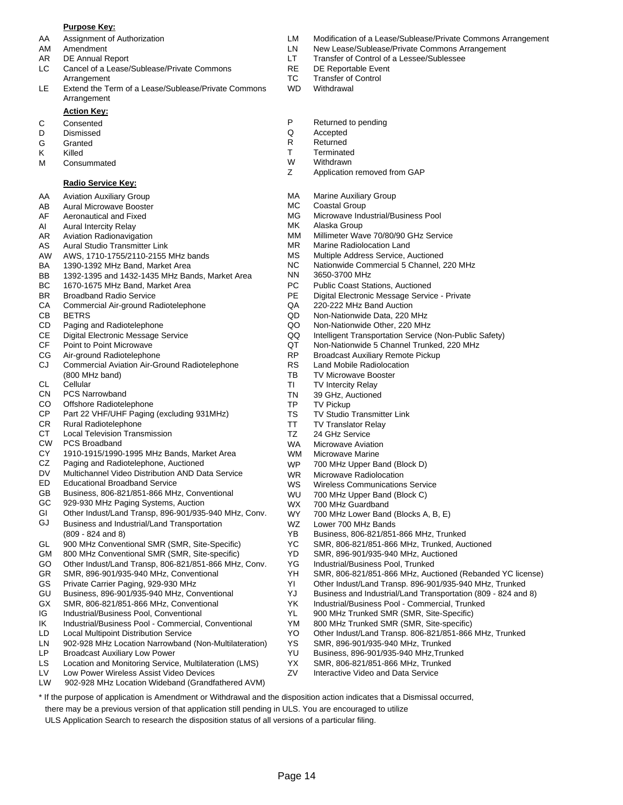#### **Purpose Key:**

- 
- 
- 
- LC Cancel of a Lease/Sublease/Private Commons RE DE Reportable Event Arrangement TC Transfer of Control
- LE Extend the Term of a Lease/Sublease/Private Commons WD Withdrawal Arrangement

#### **Action Key:**

- 
- D Dismissed Q Accepted
- G Granted **R** Returned
- 
- M Consummated M W Withdrawn<br>
Z Application

#### **Radio Service Key:**

- AA Aviation Auxiliary Group
- AB Aural Microwave Booster
- AF Aeronautical and Fixed
- AI Aural Intercity Relay
- AR Aviation Radionavigation
- AS Aural Studio Transmitter Link
- AW AWS, 1710-1755/2110-2155 MHz bands
- BA 1390-1392 MHz Band, Market Area
- BB 1392-1395 and 1432-1435 MHz Bands, Market Area
- BC 1670-1675 MHz Band, Market Area
- BR Broadband Radio Service
- CA Commercial Air-ground Radiotelephone
- CB BETRS
- CD Paging and Radiotelephone
- CE Digital Electronic Message Service
- CF Point to Point Microwave
- CG Air-ground Radiotelephone
- CJ Commercial Aviation Air-Ground Radiotelephone (800 MHz band)
- CL **Cellular**
- CN PCS Narrowband
- CO Offshore Radiotelephone
- CP Part 22 VHF/UHF Paging (excluding 931MHz)
- CR Rural Radiotelephone
- CT Local Television Transmission
- CW PCS Broadband
- CY 1910-1915/1990-1995 MHz Bands, Market Area
- CZ Paging and Radiotelephone, Auctioned
- DV Multichannel Video Distribution AND Data Service
- ED Educational Broadband Service
- GB Business, 806-821/851-866 MHz, Conventional
- GC 929-930 MHz Paging Systems, Auction
- GI Other Indust/Land Transp, 896-901/935-940 MHz, Conv.
- GJ Business and Industrial/Land Transportation (809 - 824 and 8)
- GL 900 MHz Conventional SMR (SMR, Site-Specific)
- GM 800 MHz Conventional SMR (SMR, Site-specific)
- GO Other Indust/Land Transp, 806-821/851-866 MHz, Conv.
- GR SMR, 896-901/935-940 MHz, Conventional
- GS Private Carrier Paging, 929-930 MHz
- GU Business, 896-901/935-940 MHz, Conventional
- GX SMR, 806-821/851-866 MHz, Conventional
- IG Industrial/Business Pool, Conventional
- IK Industrial/Business Pool Commercial, Conventional
- LD Local Multipoint Distribution Service
- LN 902-928 MHz Location Narrowband (Non-Multilateration)
- LP Broadcast Auxiliary Low Power
- Location and Monitoring Service, Multilateration (LMS) LS
- Low Power Wireless Assist Video Devices LV
- LW 902-928 MHz Location Wideband (Grandfathered AVM)
- AA Assignment of Authorization LM Modification of a Lease/Sublease/Private Commons Arrangement
- AM Amendment LN New Lease/Sublease/Private Commons Arrangement
- AR DE Annual Report **LT** Transfer of Control of a Lessee/Sublessee
	-
	-
	-
- C Consented **C** Consented **P** Returned to pending **D** Dismissed **P** Returned to pending
	-
	-
- K Killed T Terminated
	-
	- Application removed from GAP
	- MA Marine Auxiliary Group
	- MC Coastal Group
	- MG Microwave Industrial/Business Pool
	- MK Alaska Group
	- MM Millimeter Wave 70/80/90 GHz Service
	- MR Marine Radiolocation Land
	- MS Multiple Address Service, Auctioned
	- NC Nationwide Commercial 5 Channel, 220 MHz
		- NN 3650-3700 MHz
		- PC Public Coast Stations, Auctioned
		- PE Digital Electronic Message Service Private
		- QA 220-222 MHz Band Auction
		- QD Non-Nationwide Data, 220 MHz
		- QO Non-Nationwide Other, 220 MHz
		- QQ Intelligent Transportation Service (Non-Public Safety)
		- QT Non-Nationwide 5 Channel Trunked, 220 MHz
		- RP Broadcast Auxiliary Remote Pickup
		- RS Land Mobile Radiolocation
		- TB TV Microwave Booster
		- TI TV Intercity Relay
		- TN 39 GHz, Auctioned
		- TP TV Pickup

WS WU

YD

Page 14

\* If the purpose of application is Amendment or Withdrawal and the disposition action indicates that a Dismissal occurred,

there may be a previous version of that application still pending in ULS. You are encouraged to utilize ULS Application Search to research the disposition status of all versions of a particular filing.

WZ WX WY

TS TV Studio Transmitter Link

WR Microwave Radiolocation

Lower 700 MHz Bands

700 MHz Guardband

YG Industrial/Business Pool, Trunked

YS SMR, 896-901/935-940 MHz, Trunked YU Business, 896-901/935-940 MHz,Trunked YX SMR, 806-821/851-866 MHz, Trunked ZV Interactive Video and Data Service

Wireless Communications Service 700 MHz Upper Band (Block C)

YB Business, 806-821/851-866 MHz, Trunked YC SMR, 806-821/851-866 MHz, Trunked, Auctioned SMR, 896-901/935-940 MHz, Auctioned

700 MHz Lower Band (Blocks A, B, E)

YK Industrial/Business Pool - Commercial, Trunked YL 900 MHz Trunked SMR (SMR, Site-Specific) YM 800 MHz Trunked SMR (SMR, Site-specific)

YH SMR, 806-821/851-866 MHz, Auctioned (Rebanded YC license) YI Other Indust/Land Transp. 896-901/935-940 MHz, Trunked YJ Business and Industrial/Land Transportation (809 - 824 and 8)

YO Other Indust/Land Transp. 806-821/851-866 MHz, Trunked

- TT TV Translator Relay
- TZ 24 GHz Service
- WA Microwave Aviation
- WM WP Microwave Marine 700 MHz Upper Band (Block D)